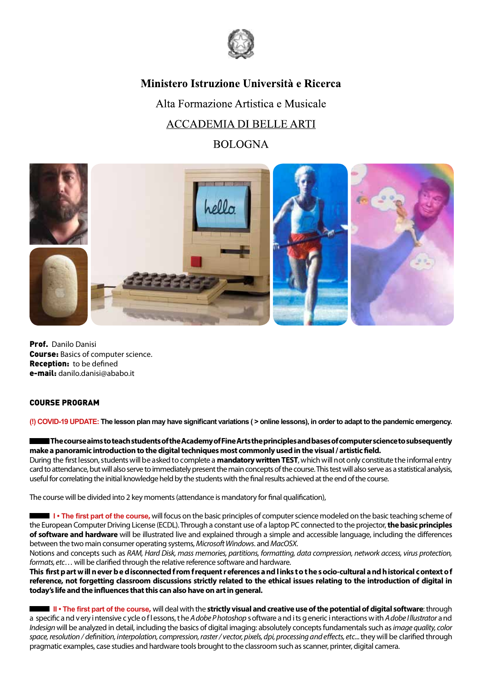

# Ministero Istruzione Università e Ricerca

Alta Formazione Artistica e Musicale **ACCADEMIA DI BELLE ARTI** 

## **BOLOGNA**



Prof. Danilo Danisi Course: Basics of computer science. Reception: to be defined e-mail: danilo.danisi@ababo.it

### COURSE PROGRAM

**(!) COVID-19 UPDATE: The lesson plan may have significant variations ( > online lessons), in order to adapt to the pandemic emergency.**

**The course aims to teachstudents of the Academy of Fine Arts the principles and bases of computer science to subsequently make a panoramic introduction to the digital techniques most commonlyused in the visual / artisticfield.**

During the first lesson, students will be asked to complete a **mandatory written TEST**, which will not only constitute the informal entry card to attendance, but will also serve to immediately present the main concepts of the course. This test will also serve as a statistical analysis, useful for correlating the initial knowledge held by the students with the final results achieved at the end of the course.

The course will be divided into 2 key moments (attendance is mandatory for final qualification),

**I** • The first part of the course, will focus on the basic principles of computer science modeled on the basic teaching scheme of the European Computer Driving License (ECDL).Through a constant use of a laptop PC connected to the projector, **the basic principles of software and hardware** will be illustrated live and explained through a simple and accessible language, including the differences between the two main consumer operating systems, *Microsoft Windows*. and*MacOSX*.

Notions and concepts such as *RAM, Hard Disk, mass memories, partitions, formatting, data compression, network access, virus protection, formats, etc*… will be clarified through the relative reference software and hardware.

**This first p art w ill n ever b e d isconnected f rom f requent references a nd l inks to t he s ocio-cultural a nd h istorical context o f reference, not forgetting classroom discussions strictly related to the ethical issues relating to the introduction of digital in today's life and the influences that this can also have on art in general.**

 **II • The first part of the course,** will deal with the **strictly visual and creative use of the potential of digital software**: through a specific a nd v ery i ntensive c ycle o f l essons, t he *Adobe Photoshop* s oftware a nd i ts g eneric i nteractions w ith *Adobe I llustrator* a nd *Indesign* will be analyzed in detail, including the basics of digital imaging: absolutely concepts fundamentals such as *image quality, color space, resolution / definition, interpolation, compression, raster / vector, pixels, dpi, processing and effects, etc*... they will be clarified through pragmatic examples, case studies and hardware tools brought to the classroom such as scanner, printer, digital camera.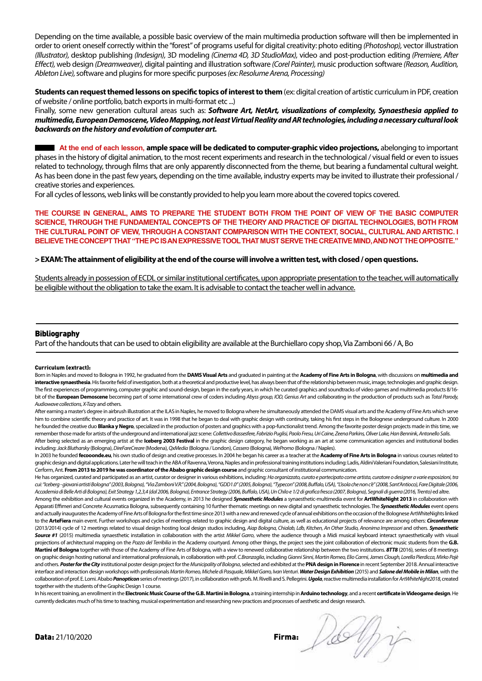Depending on the time available, a possible basic overview of the main multimedia production software will then be implemented in order to orient oneself correctly within the "forest" of programs useful for digital creativity: photo editing *(Photoshop),* vector illustration *(Illustrator),* desktop publishing *(Indesign),* 3D modeling *(Cinema 4D, 3D StudioMax),* video and post-production editing *(Premiere, After Effect),* web design *(Dreamweaver),* digital painting and illustration software *(Corel Painter),* music production software *(Reason, Audition, Ableton Live),* software and plugins for more specific purposes *(ex: Resolume Arena, Processing)*

**Students can request themed lessons on specific topics of interest to them** (ex: digital creation of artistic curriculum in PDF, creation of website / online portfolio, batch exports in multi-format etc ...)

Finally, some new generation cultural areas such as: *Software Art, NetArt, visualizations of complexity, Synaesthesia applied to multimedia, European Demoscene, Video Mapping, not least Virtual Reality and AR technologies, including a necessary cultural look backwards on the history and evolution of computer art.*

 **At the end of each lesson, ample space will be dedicated to computer-graphic video projections,** abelonging to important phases in the history of digital animation, to the most recent experiments and research in the technological / visual field or even to issues related to technology, through films that are only apparently disconnected from the theme, but bearing a fundamental cultural weight. As has been done in the past few years, depending on the time available, industry experts may be invited to illustrate their professional / creative stories and experiences.

For all cycles of lessons, web links will be constantly provided to help you learn more about the covered topics covered.

**THE COURSE IN GENERAL, AIMS TO PREPARE THE STUDENT BOTH FROM THE POINT OF VIEW OF THE BASIC COMPUTER SCIENCE, THROUGH THE FUNDAMENTAL CONCEPTS OF THE THEORY AND PRACTICE OF DIGITAL TECHNOLOGIES, BOTH FROM THE CULTURAL POINT OF VIEW, THROUGH A CONSTANT COMPARISON WITH THE CONTEXT, SOCIAL, CULTURAL AND ARTISTIC. I BELIEVE THE CONCEPT THAT "THE PC IS AN EXPRESSIVE TOOL THAT MUST SERVE THE CREATIVE MIND, AND NOT THE OPPOSITE."**

### **> EXAM: The attainment of eligibility at the end of the course will involve a written test, with closed / open questions.**

Students already in possession of ECDL or similar institutional certificates, upon appropriate presentation to the teacher, will automatically be eligible without the obligation to take the exam. It is advisable to contact the teacher well in advance.

### **Bibliography**

Part of the handouts that can be used to obtain eligibility are available at the Burchiellaro copy shop, Via Zamboni 66 / A, Bo

#### Curriculum (extract):

Born in Naples and moved to Bologna in 1992, he graduated from the **DAMS Visual Arts** and graduated in painting at the **Academy of Fine Arts in Bologna**, with discussions on **multimedia and interactive synaesthesia**. His favorite field of investigation, both at a theoretical and productive level, has always been that of the relationship between music, image, technologies and graphic design. The first experiences of programming, computer graphic and sound-design, began in the early years, in which he curated graphics and soundtracks of video games and multimedia products 8/16bit of the **European Demoscene** becoming part of some international crew of coders including *Abyss group, IOD, Genius Art* and collaborating in the production of products such as *Total Parody, Audiowave collections, X-Tazy* and others.

After earning a master's degree in airbrush illustration at the ILAS in Naples, he moved to Bologna where he simultaneously attended the DAMS visual arts and the Academy of Fine Arts which serve him to combine scientific theory and practice of art. It was in 1998 that he began to deal with graphic design with continuity, taking his first steps in the Bolognese underground culture. In 2000 he founded the creative duo **Blanka y Negro**, specialized in the production of posters and graphics with a pop-functionalist trend. Among the favorite poster design projects made in this time, we remember those made for artists of the underground and international jazz scene: *Collettivo Bassesfere, Fabrizio Puglisi, Paolo Fresu, Uri Caine, Zeena Parkins, Oliver Lake, Han Bennink, Antonello Salis.* 

After being selected as an emerging artist at the **Iceberg 2003 Festival** in the graphic design category, he began working as an art at some communication agencies and institutional bodies including: *Jack Blutharsky* (Bologna), *DireFareCreare* (Modena), *QxMedia* (Bologna / London), *Cassero* (Bologna), *WePromo* (Bologna / Naples).

In 2003 he founded **fecooonde.eu**, his own studio of design and creative processes. In 2004 he began his career as a teacher at the **Academy of Fine Arts in Bologna** in various courses related to graphic design and digital applications. Later he will teach in the ABA of Ravenna, Verona, Naples and in professional training institutions including: Ladis, Aldini Valeriani Foundation, Salesiani Institute, Cerform, Ant. **From 2013 to 2019 he was coordinator of the Ababo graphic design course** and graphic consultant of institutional communication.

He has organized, curated and participated as an artist, curator or designer in various exhibitions, including: *Ha organizzato, curato e partecipato come artista, curatore o designer a varie esposizioni, tra cui: "Iceberg - giovani artisti Bologna" (2003, Bologna), "Via Zamboni V.R." (2004, Bologna), "GDD1.0" (2005, Bologna), "Typecon" (2008, Buffalo, USA), "L'isola che non c'è" (2008, Sant'Antioco), Fare Digitale (2006, Accademia di Belle Arti di Bologna), Exit Strategy 1,2,3,4 (dal 2006, Bologna), Entrance Strategy (2006, Buffalo, USA), Un Chilo e 1/2 di grafica fresca (2007, Bologna), Segnali di guerra (2016, Trento)* ed altre.

Among the exhibition and cultural events organized in the Academy, in 2013 he designed *Synaesthetic Modules* a synaesthetic-multimedia event for **ArtWhiteNight 2013** in collaboration with Apparati Effimeri and Concrete Acusmatica Bologna, subsequently containing 10 further thematic meetings on new digital and synaesthetic technologies. The *Synaesthetic Modules* event opens and actually inaugurates the Academy of Fine Arts of Bologna for the first time since 2013 with a new and renewed cycle of annual exhibitions on the occasion of the Bolognese ArtWhiteNights linked to the **ArteFiera** main event. Further workshops and cycles of meetings related to graphic design and digital culture, as well as educational projects of relevance are among others: *Circonferenze*  (2013/2014) cycle of 12 meetings related to visual design hosting local design studios including, *Aiap Bologna, Chialab, Ldb, Kitchen, An Other Studio, Anonima Impressori* and others. *Synaesthetic Source #1* (2015) multimedia synaesthetic installation in collaboration with the artist *Mikkel Garro*, where the audience through a Midi musical keyboard interact synaesthetically with visual projections of architectural mapping on the *Pozzo del Terribilia* in the Academy courtyard. Among other things, the project sees the joint collaboration of electronic music students from the **G.B. Martini of Bologna** together with those of the Academy of Fine Arts of Bologna, with a view to renewed collaborative relationship between the two institutions. *8TT8* (2016), series of 8 meetings on graphic design hosting national and international professionals, in collaboration with prof. *C.Branzaglia*, including *Gianni Sinni, Martin Romeo, Elio Carmi, James Clough, Lorella Pierdicca, Mirko Pajè* and others. *Poster for the City* institutional poster design project for the *Municipality of Bologna*, selected and exhibited at the **PNA design in Florence** in recent September 2018. Annual interactive interface and interaction design workshops with professionals *Martin Romeo, Michele di Pasquale, Mikkel Garro, Ivan Venturi*. *Water Design Exhibition* (2015) and *Salone del Mobile in Milan*, with the collaboration of prof. E. Lomi. Ababo Panopticon series of meetings (2017), in collaboration with profs. M. Rivelli and S. Pellegrini. Ugola, reactive multimedia installation for ArtWhiteNight2018, created together with the students of the Graphic Design 1 course.

In his recent training, an enrollment in the **Electronic Music Course of the G.B. Martini in Bologna**, a training internship in **Arduino technology**, and a recent **certificate in Videogame design**. He currently dedicates much of his time to teaching, musical experimentation and researching new practices and processes of aesthetic and design research.

Data: 21/10/2020 Firma:

<u>/so</u>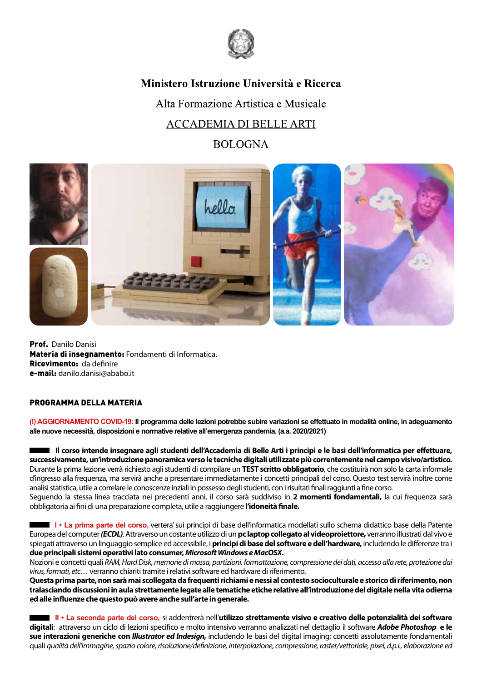

# Ministero Istruzione Università e Ricerca

Alta Formazione Artistica e Musicale **ACCADEMIA DI BELLE ARTI** 

## **BOLOGNA**



Prof. Danilo Danisi Materia di insegnamento: Fondamenti di Informatica. Ricevimento: da definire e-mail: danilo.danisi@ababo.it

### PROGRAMMA DELLA MATERIA

**(!) AGGIORNAMENTO COVID-19: Il programma delle lezioni potrebbe subire variazioni se effettuato in modalità online, in adeguamento alle nuove necessità, disposizioni e normative relative all'emergenza pandemia. (a.a. 2020/2021)**

 **Il corso intende insegnare agli studenti dell'Accademia di Belle Arti i principi e le basi dell'informatica per effettuare, successivamente, un'introduzione panoramica verso le tecniche digitali utilizzate più correntemente nel campo visivo/artistico.**  Durante la prima lezione verrà richiesto agli studenti di compilare un **TEST scritto obbligatorio**, che costituirà non solo la carta informale d'ingresso alla frequenza, ma servirà anche a presentare immediatamente i concetti principali del corso. Questo test servirà inoltre come analisi statistica, utile a correlare le conoscenze inziali in possesso degli studenti, con i risultati finali raggiunti a fine corso. Seguendo la stessa linea tracciata nei precedenti anni, il corso sarà suddiviso in **2 momenti fondamentali,** la cui frequenza sarà obbligatoria ai fini di una preparazione completa, utile a raggiungere **l'idoneità finale.**

 **I • La prima parte del corso,** vertera' sui principi di base dell'informatica modellati sullo schema didattico base della Patente Europea del computer *(ECDL)*. Attraverso un costante utilizzo di un **pc laptop collegato al videoproiettore,** verranno illustrati dal vivo e spiegati attraverso un linguaggio semplice ed accessibile, i **principi di base del software e dell'hardware,** includendo le differenze tra i **due principali sistemi operativi lato consumer,** *Microsoft Windows e MacOSX***.**

Nozioni e concetti quali *RAM, Hard Disk, memorie di massa, partizioni, formattazione, compressione dei dati, accesso alla rete, protezione dai virus, formati, etc…* verranno chiariti tramite i relativi software ed hardware di riferimento.

**Questa prima parte, non sarà mai scollegata da frequenti richiami e nessi al contesto socioculturale e storico di riferimento, non tralasciando discussioni in aula strettamente legate alle tematiche etiche relative all'introduzione del digitale nella vita odierna ed alle influenze che questo può avere anche sull'arte in generale.**

 **II • La seconda parte del corso,** si addentrerà nell'**utilizzo strettamente visivo e creativo delle potenzialità dei software digitali**: attraverso un ciclo di lezioni specifico e molto intensivo verranno analizzati nel dettaglio il software *Adobe Photoshop* **e le sue interazioni generiche con** *Illustrator ed Indesign,* includendo le basi del digital imaging: concetti assolutamente fondamentali quali *qualità dell'immagine, spazio colore, risoluzione/definizione, interpolazione, compressione, raster/vettoriale, pixel, d.p.i., elaborazione ed*